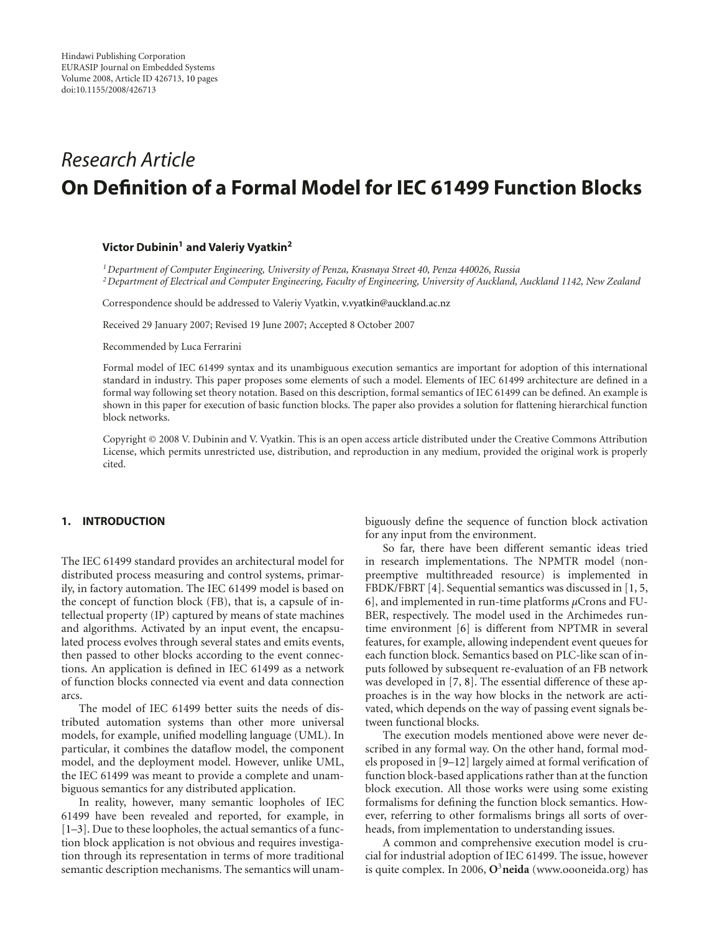# *Research Article* **On Definition of a Formal Model for IEC 61499 Function Blocks**

## **Victor Dubinin1 and Valeriy Vyatkin2**

*1Department of Computer Engineering, University of Penza, Krasnaya Street 40, Penza 440026, Russia 2Department of Electrical and Computer Engineering, Faculty of Engineering, University of Auckland, Auckland 1142, New Zealand*

Correspondence should be addressed to Valeriy Vyatkin, v.vyatkin@auckland.ac.nz

Received 29 January 2007; Revised 19 June 2007; Accepted 8 October 2007

Recommended by Luca Ferrarini

Formal model of IEC 61499 syntax and its unambiguous execution semantics are important for adoption of this international standard in industry. This paper proposes some elements of such a model. Elements of IEC 61499 architecture are defined in a formal way following set theory notation. Based on this description, formal semantics of IEC 61499 can be defined. An example is shown in this paper for execution of basic function blocks. The paper also provides a solution for flattening hierarchical function block networks.

Copyright © 2008 V. Dubinin and V. Vyatkin. This is an open access article distributed under the Creative Commons Attribution License, which permits unrestricted use, distribution, and reproduction in any medium, provided the original work is properly cited.

## **1. INTRODUCTION**

The IEC 61499 standard provides an architectural model for distributed process measuring and control systems, primarily, in factory automation. The IEC 61499 model is based on the concept of function block (FB), that is, a capsule of intellectual property (IP) captured by means of state machines and algorithms. Activated by an input event, the encapsulated process evolves through several states and emits events, then passed to other blocks according to the event connections. An application is defined in IEC 61499 as a network of function blocks connected via event and data connection arcs.

The model of IEC 61499 better suits the needs of distributed automation systems than other more universal models, for example, unified modelling language (UML). In particular, it combines the dataflow model, the component model, and the deployment model. However, unlike UML, the IEC 61499 was meant to provide a complete and unambiguous semantics for any distributed application.

In reality, however, many semantic loopholes of IEC 61499 have been revealed and reported, for example, in [1–3]. Due to these loopholes, the actual semantics of a function block application is not obvious and requires investigation through its representation in terms of more traditional semantic description mechanisms. The semantics will unambiguously define the sequence of function block activation for any input from the environment.

So far, there have been different semantic ideas tried in research implementations. The NPMTR model (nonpreemptive multithreaded resource) is implemented in FBDK/FBRT [4]. Sequential semantics was discussed in [1, 5, 6], and implemented in run-time platforms *μ*Crons and FU-BER, respectively. The model used in the Archimedes runtime environment [6] is different from NPTMR in several features, for example, allowing independent event queues for each function block. Semantics based on PLC-like scan of inputs followed by subsequent re-evaluation of an FB network was developed in [7, 8]. The essential difference of these approaches is in the way how blocks in the network are activated, which depends on the way of passing event signals between functional blocks.

The execution models mentioned above were never described in any formal way. On the other hand, formal models proposed in [9–12] largely aimed at formal verification of function block-based applications rather than at the function block execution. All those works were using some existing formalisms for defining the function block semantics. However, referring to other formalisms brings all sorts of overheads, from implementation to understanding issues.

A common and comprehensive execution model is crucial for industrial adoption of IEC 61499. The issue, however is quite complex. In 2006, **O**<sup>3</sup>**neida** (www.oooneida.org) has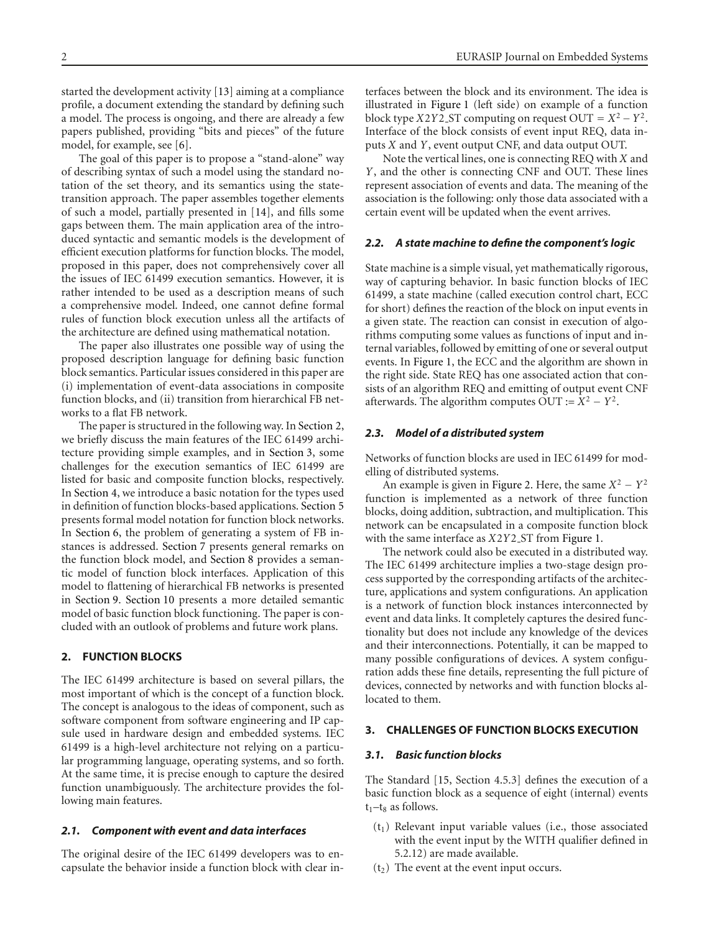started the development activity [13] aiming at a compliance profile, a document extending the standard by defining such a model. The process is ongoing, and there are already a few papers published, providing "bits and pieces" of the future model, for example, see [6].

The goal of this paper is to propose a "stand-alone" way of describing syntax of such a model using the standard notation of the set theory, and its semantics using the statetransition approach. The paper assembles together elements of such a model, partially presented in [14], and fills some gaps between them. The main application area of the introduced syntactic and semantic models is the development of efficient execution platforms for function blocks. The model, proposed in this paper, does not comprehensively cover all the issues of IEC 61499 execution semantics. However, it is rather intended to be used as a description means of such a comprehensive model. Indeed, one cannot define formal rules of function block execution unless all the artifacts of the architecture are defined using mathematical notation.

The paper also illustrates one possible way of using the proposed description language for defining basic function block semantics. Particular issues considered in this paper are (i) implementation of event-data associations in composite function blocks, and (ii) transition from hierarchical FB networks to a flat FB network.

The paper is structured in the following way. In Section 2, we briefly discuss the main features of the IEC 61499 architecture providing simple examples, and in Section 3, some challenges for the execution semantics of IEC 61499 are listed for basic and composite function blocks, respectively. In Section 4, we introduce a basic notation for the types used in definition of function blocks-based applications. Section 5 presents formal model notation for function block networks. In Section 6, the problem of generating a system of FB instances is addressed. Section 7 presents general remarks on the function block model, and Section 8 provides a semantic model of function block interfaces. Application of this model to flattening of hierarchical FB networks is presented in Section 9. Section 10 presents a more detailed semantic model of basic function block functioning. The paper is concluded with an outlook of problems and future work plans.

## **2. FUNCTION BLOCKS**

The IEC 61499 architecture is based on several pillars, the most important of which is the concept of a function block. The concept is analogous to the ideas of component, such as software component from software engineering and IP capsule used in hardware design and embedded systems. IEC 61499 is a high-level architecture not relying on a particular programming language, operating systems, and so forth. At the same time, it is precise enough to capture the desired function unambiguously. The architecture provides the following main features.

#### *2.1. Component with event and data interfaces*

The original desire of the IEC 61499 developers was to encapsulate the behavior inside a function block with clear interfaces between the block and its environment. The idea is illustrated in Figure 1 (left side) on example of a function block type *X*2*Y*2\_ST computing on request OUT =  $X^2 - Y^2$ . Interface of the block consists of event input REQ, data inputs *X* and *Y*, event output CNF, and data output OUT.

Note the vertical lines, one is connecting REQ with *X* and *Y*, and the other is connecting CNF and OUT. These lines represent association of events and data. The meaning of the association is the following: only those data associated with a certain event will be updated when the event arrives.

#### *2.2. A state machine to define the component's logic*

State machine is a simple visual, yet mathematically rigorous, way of capturing behavior. In basic function blocks of IEC 61499, a state machine (called execution control chart, ECC for short) defines the reaction of the block on input events in a given state. The reaction can consist in execution of algorithms computing some values as functions of input and internal variables, followed by emitting of one or several output events. In Figure 1, the ECC and the algorithm are shown in the right side. State REQ has one associated action that consists of an algorithm REQ and emitting of output event CNF afterwards. The algorithm computes OUT :=  $X^2 - Y^2$ .

## *2.3. Model of a distributed system*

Networks of function blocks are used in IEC 61499 for modelling of distributed systems.

An example is given in Figure 2. Here, the same  $X^2 - Y^2$ function is implemented as a network of three function blocks, doing addition, subtraction, and multiplication. This network can be encapsulated in a composite function block with the same interface as *X*2*Y*2 ST from Figure 1.

The network could also be executed in a distributed way. The IEC 61499 architecture implies a two-stage design process supported by the corresponding artifacts of the architecture, applications and system configurations. An application is a network of function block instances interconnected by event and data links. It completely captures the desired functionality but does not include any knowledge of the devices and their interconnections. Potentially, it can be mapped to many possible configurations of devices. A system configuration adds these fine details, representing the full picture of devices, connected by networks and with function blocks allocated to them.

# **3. CHALLENGES OF FUNCTION BLOCKS EXECUTION**

## *3.1. Basic function blocks*

The Standard [15, Section 4.5.3] defines the execution of a basic function block as a sequence of eight (internal) events  $t_1$ – $t_8$  as follows.

- $(t_1)$  Relevant input variable values (i.e., those associated with the event input by the WITH qualifier defined in 5.2.12) are made available.
- $(t_2)$  The event at the event input occurs.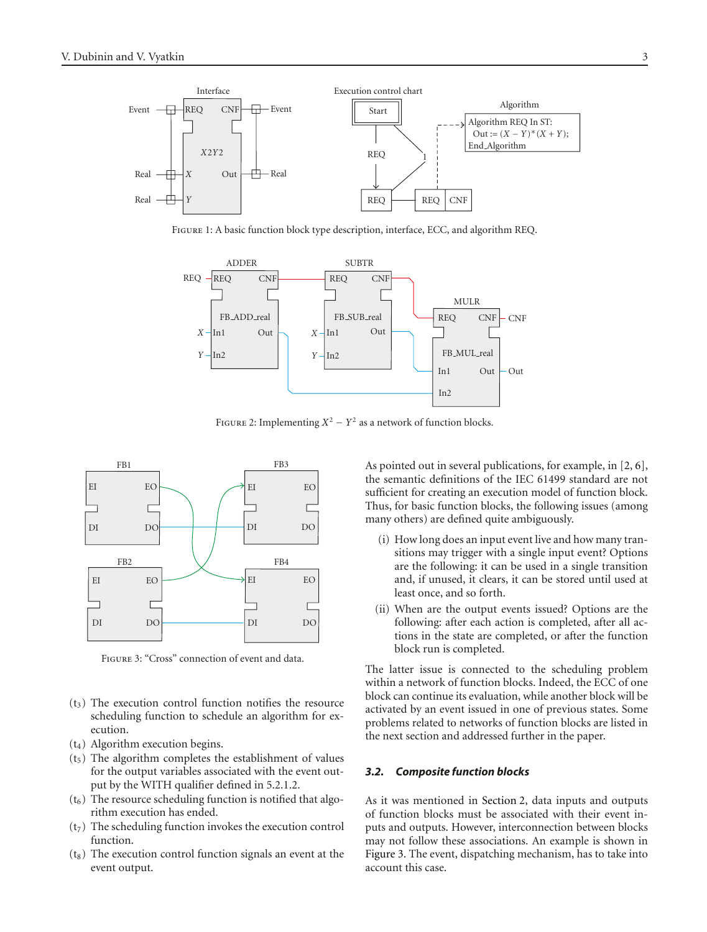

Figure 1: A basic function block type description, interface, ECC, and algorithm REQ.



FIGURE 2: Implementing  $X^2 - Y^2$  as a network of function blocks.



Figure 3: "Cross" connection of event and data.

- $(t<sub>3</sub>)$  The execution control function notifies the resource scheduling function to schedule an algorithm for execution.
- (t4) Algorithm execution begins.
- $(t_5)$  The algorithm completes the establishment of values for the output variables associated with the event output by the WITH qualifier defined in 5.2.1.2.
- $(t<sub>6</sub>)$  The resource scheduling function is notified that algorithm execution has ended.
- $(t<sub>7</sub>)$  The scheduling function invokes the execution control function.
- $(t<sub>8</sub>)$  The execution control function signals an event at the event output.

As pointed out in several publications, for example, in [2, 6], the semantic definitions of the IEC 61499 standard are not sufficient for creating an execution model of function block. Thus, for basic function blocks, the following issues (among many others) are defined quite ambiguously.

- (i) How long does an input event live and how many transitions may trigger with a single input event? Options are the following: it can be used in a single transition and, if unused, it clears, it can be stored until used at least once, and so forth.
- (ii) When are the output events issued? Options are the following: after each action is completed, after all actions in the state are completed, or after the function block run is completed.

The latter issue is connected to the scheduling problem within a network of function blocks. Indeed, the ECC of one block can continue its evaluation, while another block will be activated by an event issued in one of previous states. Some problems related to networks of function blocks are listed in the next section and addressed further in the paper.

#### *3.2. Composite function blocks*

As it was mentioned in Section 2, data inputs and outputs of function blocks must be associated with their event inputs and outputs. However, interconnection between blocks may not follow these associations. An example is shown in Figure 3. The event, dispatching mechanism, has to take into account this case.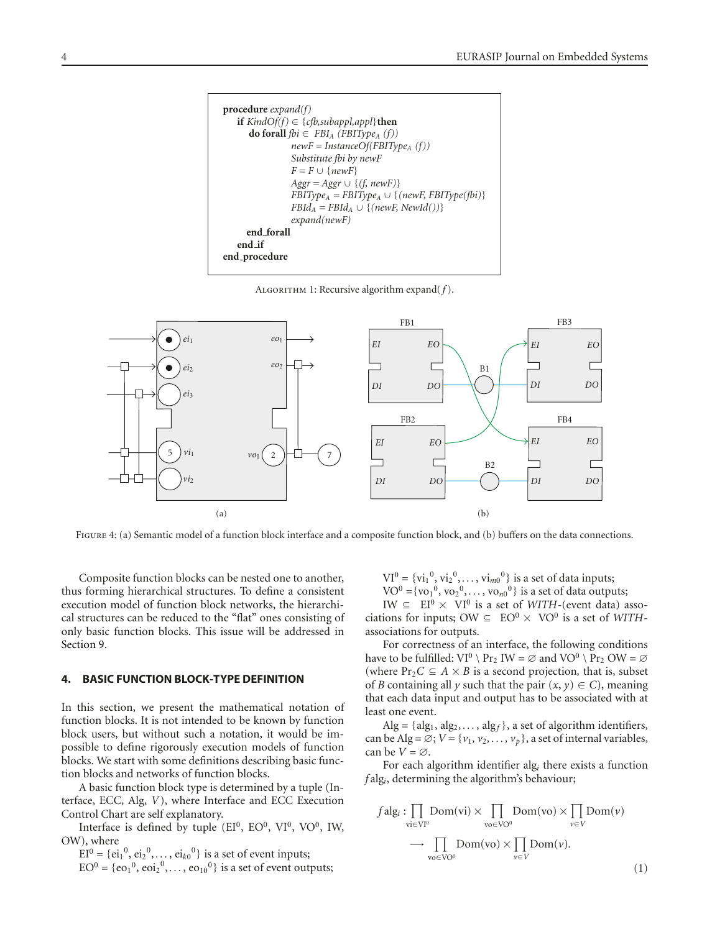

Algorithm 1: Recursive algorithm expand(*f* ).



FIGURE 4: (a) Semantic model of a function block interface and a composite function block, and (b) buffers on the data connections.

Composite function blocks can be nested one to another, thus forming hierarchical structures. To define a consistent execution model of function block networks, the hierarchical structures can be reduced to the "flat" ones consisting of only basic function blocks. This issue will be addressed in Section 9.

# **4. BASIC FUNCTION BLOCK-TYPE DEFINITION**

In this section, we present the mathematical notation of function blocks. It is not intended to be known by function block users, but without such a notation, it would be impossible to define rigorously execution models of function blocks. We start with some definitions describing basic function blocks and networks of function blocks.

A basic function block type is determined by a tuple (Interface, ECC, Alg, *V*), where Interface and ECC Execution Control Chart are self explanatory.

Interface is defined by tuple ( $EI^0$ ,  $EO^0$ ,  $VI^0$ ,  $VO^0$ , IW, OW), where

 $EI^0 = {ei_1}^0, ei_2^0, ..., ei_{k0}^0}$  is a set of event inputs;  $EO<sup>0</sup> = {eo<sub>1</sub><sup>0</sup>, eoi<sub>2</sub><sup>0</sup>, ..., eo<sub>10</sub><sup>0</sup>}$  is a set of event outputs;  $VI^0 = \{vi_1^0, vi_2^0, \dots, vi_{m0}^0\}$  is a set of data inputs;  $VO^{0} = \{vo_1^{0}, vo_2^{0}, \dots, vo_{n0}^{0}\}$  is a set of data outputs;

IW  $\subseteq$  EI<sup>0</sup> × VI<sup>0</sup> is a set of *WITH*-(event data) associations for inputs; OW  $\subseteq$  EO<sup>0</sup>  $\times$  VO<sup>0</sup> is a set of WITHassociations for outputs.

For correctness of an interface, the following conditions have to be fulfilled:  $VI^0 \setminus Pr_2$  IW =  $\varnothing$  and VO<sup>0</sup>  $\setminus Pr_2$  OW =  $\varnothing$ (where  $Pr_2C \subseteq A \times B$  is a second projection, that is, subset of *B* containing all *y* such that the pair  $(x, y) \in C$ , meaning that each data input and output has to be associated with at least one event.

Alg =  $\{alg_1, alg_2, \ldots, alg_f\}$ , a set of algorithm identifiers, can be Alg =  $\varnothing$ ;  $V = \{v_1, v_2, \ldots, v_p\}$ , a set of internal variables, can be  $V = \emptyset$ .

For each algorithm identifier alg*<sup>i</sup>* there exists a function *f* alg*i*, determining the algorithm's behaviour;

$$
f \, alg_i : \prod_{\forall i \in VI^0} \text{Dom}(vi) \times \prod_{\forall o \in VO^0} \text{Dom}(vo) \times \prod_{\nu \in V} \text{Dom}(\nu)
$$

$$
\longrightarrow \prod_{\forall o \in VO^0} \text{Dom}(vo) \times \prod_{\nu \in V} \text{Dom}(\nu).
$$
(1)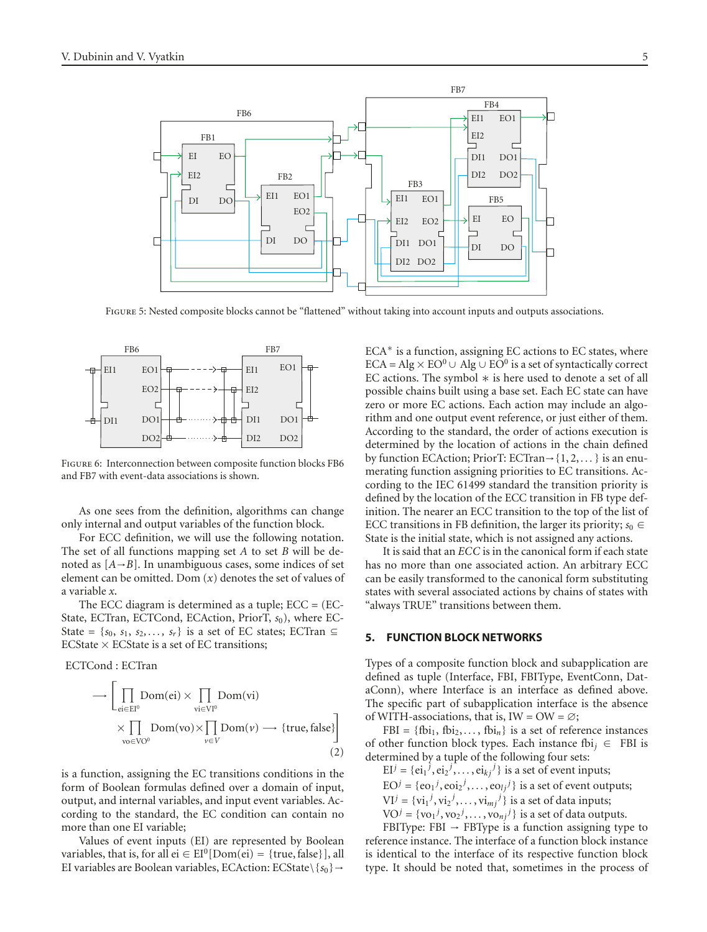

FIGURE 5: Nested composite blocks cannot be "flattened" without taking into account inputs and outputs associations.



Figure 6: Interconnection between composite function blocks FB6 and FB7 with event-data associations is shown.

As one sees from the definition, algorithms can change only internal and output variables of the function block.

For ECC definition, we will use the following notation. The set of all functions mapping set *A* to set *B* will be denoted as  $[A \rightarrow B]$ . In unambiguous cases, some indices of set element can be omitted. Dom (*x*) denotes the set of values of a variable *x*.

The ECC diagram is determined as a tuple; ECC = (EC-State, ECTran, ECTCond, ECAction, PriorT, *s*0), where EC-State =  $\{s_0, s_1, s_2, \ldots, s_r\}$  is a set of EC states; ECTran  $\subseteq$ ECState  $\times$  ECState is a set of EC transitions;

ECTCond : ECTran

$$
\rightarrow \left[\prod_{\substack{\mathbf{e} \in \mathbb{E} \mathbb{I}^0}} \text{Dom}(\mathbf{e} \mathbf{i}) \times \prod_{\substack{\mathbf{v} \mathbf{i} \in \mathbf{V} \mathbb{I}^0}} \text{Dom}(\mathbf{v} \mathbf{i}) \times \prod_{\substack{\mathbf{v} \mathbf{i} \in \mathbf{V} \mathbb{I}^0}} \text{Dom}(\mathbf{v}) \times \prod_{\mathbf{v} \in \mathbf{V}} \text{Dom}(\mathbf{v}) \rightarrow \{\text{true}, \text{false}\}\right]
$$
\n
$$
\times \prod_{\mathbf{v} \in \mathbf{V} \mathbb{O}^0} \text{Dom}(\mathbf{v}) \times \prod_{\mathbf{v} \in \mathbf{V}} \text{Dom}(\mathbf{v}) \longrightarrow \{\text{true}, \text{false}\}\right]
$$
\n
$$
(2)
$$

is a function, assigning the EC transitions conditions in the form of Boolean formulas defined over a domain of input, output, and internal variables, and input event variables. According to the standard, the EC condition can contain no more than one EI variable;

Values of event inputs (EI) are represented by Boolean variables, that is, for all ei  $\in$  EI<sup>0</sup>[Dom(ei) = {true, false}], all EI variables are Boolean variables, ECAction: ECState\{*s*0}→

 $ECA*$  is a function, assigning  $EC$  actions to  $EC$  states, where ECA = Alg  $\times$  EO<sup>0</sup> ∪ Alg ∪ EO<sup>0</sup> is a set of syntactically correct EC actions. The symbol ∗ is here used to denote a set of all possible chains built using a base set. Each EC state can have zero or more EC actions. Each action may include an algorithm and one output event reference, or just either of them. According to the standard, the order of actions execution is determined by the location of actions in the chain defined by function ECAction; PriorT: ECTran→{1, 2, *...* } is an enumerating function assigning priorities to EC transitions. According to the IEC 61499 standard the transition priority is defined by the location of the ECC transition in FB type definition. The nearer an ECC transition to the top of the list of ECC transitions in FB definition, the larger its priority;  $s_0 \in$ State is the initial state, which is not assigned any actions.

It is said that an *ECC* is in the canonical form if each state has no more than one associated action. An arbitrary ECC can be easily transformed to the canonical form substituting states with several associated actions by chains of states with "always TRUE" transitions between them.

## **5. FUNCTION BLOCK NETWORKS**

Types of a composite function block and subapplication are defined as tuple (Interface, FBI, FBIType, EventConn, DataConn), where Interface is an interface as defined above. The specific part of subapplication interface is the absence of WITH-associations, that is, IW =  $OW = \emptyset$ ;

 $FBI = {fbi<sub>1</sub>, fbi<sub>2</sub>, ..., fbi<sub>n</sub>}$  is a set of reference instances of other function block types. Each instance fbi<sub>j</sub>  $\in$  FBI is determined by a tuple of the following four sets:

 $EI^j = \{ei_1^j, ei_2^j, \dots, ei_{kj}^j\}$  is a set of event inputs;  $EO<sup>j</sup> = {eo<sub>1</sub><sup>j</sup>, eo<sub>2</sub><sup>j</sup>, ..., eo<sub>lj</sub><sup>j</sup>}$  is a set of event outputs;  $VI^j = \{vi_1^j, vi_2^j, \dots, vi_{mj}^j\}$  is a set of data inputs;

 $VO<sup>j</sup> = {vo<sub>1</sub><sup>j</sup>, vo<sub>2</sub><sup>j</sup>,...,vo<sub>nj</sub><sup>j</sup>}$  is a set of data outputs.

FBIType: FBI  $\rightarrow$  FBType is a function assigning type to reference instance. The interface of a function block instance is identical to the interface of its respective function block type. It should be noted that, sometimes in the process of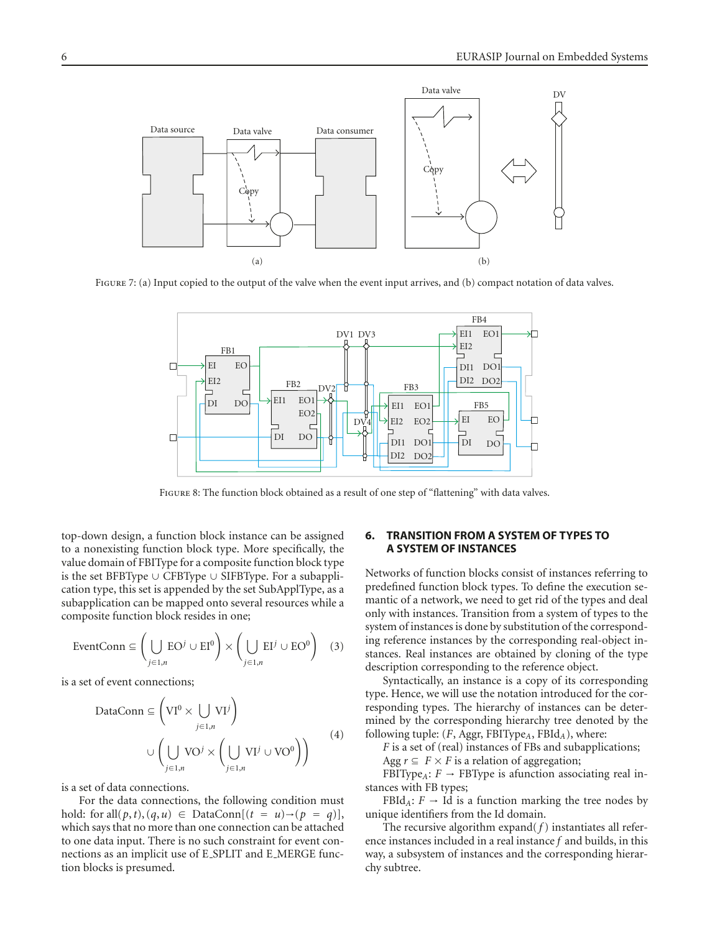

FIGURE 7: (a) Input copied to the output of the valve when the event input arrives, and (b) compact notation of data valves.



Figure 8: The function block obtained as a result of one step of "flattening" with data valves.

top-down design, a function block instance can be assigned to a nonexisting function block type. More specifically, the value domain of FBIType for a composite function block type is the set BFBType ∪ CFBType ∪ SIFBType. For a subapplication type, this set is appended by the set SubApplType, as a subapplication can be mapped onto several resources while a composite function block resides in one;

$$
\text{EventConn} \subseteq \left(\bigcup_{j \in 1,n} \text{EO}^j \cup \text{EI}^0\right) \times \left(\bigcup_{j \in 1,n} \text{EI}^j \cup \text{EO}^0\right) \quad (3)
$$

is a set of event connections;

$$
\begin{aligned} \text{DataConn} &\subseteq \left( \text{VI}^0 \times \bigcup_{j \in 1,n} \text{VI}^j \right) \\ &\cup \left( \bigcup_{j \in 1,n} \text{VO}^j \times \left( \bigcup_{j \in 1,n} \text{VI}^j \cup \text{VO}^0 \right) \right) \end{aligned} \tag{4}
$$

is a set of data connections.

For the data connections, the following condition must hold: for all $(p, t)$ ,  $(q, u) \in$  DataConn $[(t = u) \rightarrow (p = q)],$ which says that no more than one connection can be attached to one data input. There is no such constraint for event connections as an implicit use of E SPLIT and E MERGE function blocks is presumed.

# **6. TRANSITION FROM A SYSTEM OF TYPES TO A SYSTEM OF INSTANCES**

Networks of function blocks consist of instances referring to predefined function block types. To define the execution semantic of a network, we need to get rid of the types and deal only with instances. Transition from a system of types to the system of instances is done by substitution of the corresponding reference instances by the corresponding real-object instances. Real instances are obtained by cloning of the type description corresponding to the reference object.

Syntactically, an instance is a copy of its corresponding type. Hence, we will use the notation introduced for the corresponding types. The hierarchy of instances can be determined by the corresponding hierarchy tree denoted by the following tuple: (*F*, Aggr, FBIType*A*, FBId*A*), where:

*F* is a set of (real) instances of FBs and subapplications;

Agg  $r \subseteq F \times F$  is a relation of aggregation;

FBIType<sub>A</sub>:  $F \rightarrow$  FBType is a function associating real instances with FB types;

FBId<sub>A</sub>:  $F \rightarrow$  Id is a function marking the tree nodes by unique identifiers from the Id domain.

The recursive algorithm  $expand(f)$  instantiates all reference instances included in a real instance *f* and builds, in this way, a subsystem of instances and the corresponding hierarchy subtree.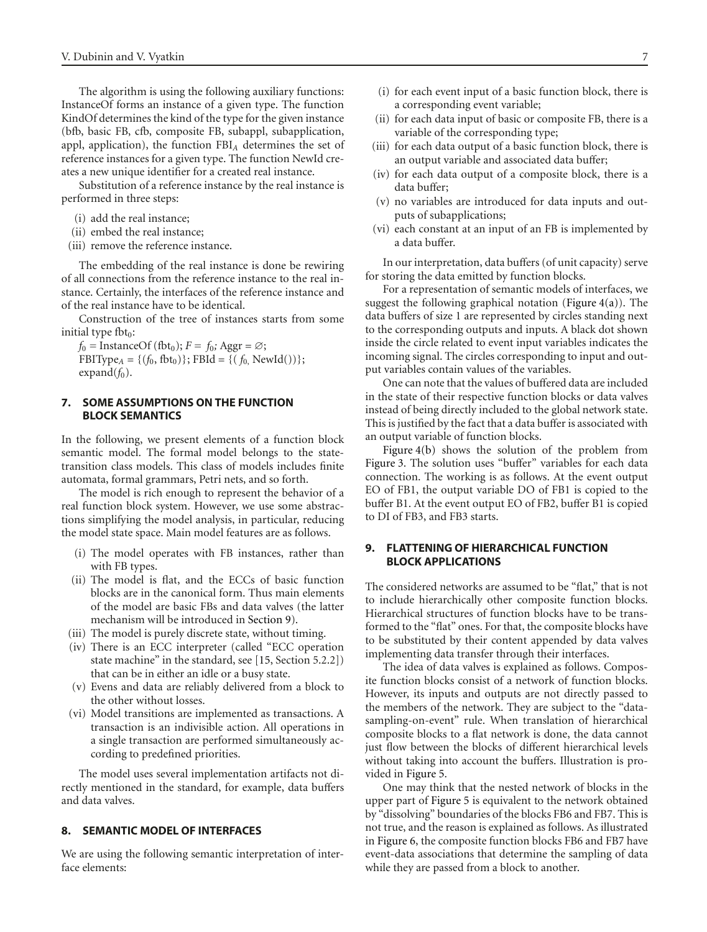The algorithm is using the following auxiliary functions: InstanceOf forms an instance of a given type. The function KindOf determines the kind of the type for the given instance (bfb, basic FB, cfb, composite FB, subappl, subapplication, appl, application), the function FBI*<sup>A</sup>* determines the set of reference instances for a given type. The function NewId creates a new unique identifier for a created real instance.

Substitution of a reference instance by the real instance is performed in three steps:

- (i) add the real instance;
- (ii) embed the real instance;
- (iii) remove the reference instance.

The embedding of the real instance is done be rewiring of all connections from the reference instance to the real instance. Certainly, the interfaces of the reference instance and of the real instance have to be identical.

Construction of the tree of instances starts from some initial type fbto:

 $f_0$  = InstanceOf (fbt<sub>0</sub>);  $F = f_0$ ; Aggr =  $\varnothing$ ; FBIType<sub>A</sub> = {( $f_0$ , fbt<sub>0</sub>)}; FBId = {( $f_0$ , NewId())};  $expand(f_0)$ .

# **7. SOME ASSUMPTIONS ON THE FUNCTION BLOCK SEMANTICS**

In the following, we present elements of a function block semantic model. The formal model belongs to the statetransition class models. This class of models includes finite automata, formal grammars, Petri nets, and so forth.

The model is rich enough to represent the behavior of a real function block system. However, we use some abstractions simplifying the model analysis, in particular, reducing the model state space. Main model features are as follows.

- (i) The model operates with FB instances, rather than with FB types.
- (ii) The model is flat, and the ECCs of basic function blocks are in the canonical form. Thus main elements of the model are basic FBs and data valves (the latter mechanism will be introduced in Section 9).
- (iii) The model is purely discrete state, without timing.
- (iv) There is an ECC interpreter (called "ECC operation state machine" in the standard, see [15, Section 5.2.2]) that can be in either an idle or a busy state.
- (v) Evens and data are reliably delivered from a block to the other without losses.
- (vi) Model transitions are implemented as transactions. A transaction is an indivisible action. All operations in a single transaction are performed simultaneously according to predefined priorities.

The model uses several implementation artifacts not directly mentioned in the standard, for example, data buffers and data valves.

# **8. SEMANTIC MODEL OF INTERFACES**

We are using the following semantic interpretation of interface elements:

- (i) for each event input of a basic function block, there is a corresponding event variable;
- (ii) for each data input of basic or composite FB, there is a variable of the corresponding type;
- (iii) for each data output of a basic function block, there is an output variable and associated data buffer;
- (iv) for each data output of a composite block, there is a data buffer;
- (v) no variables are introduced for data inputs and outputs of subapplications;
- (vi) each constant at an input of an FB is implemented by a data buffer.

In our interpretation, data buffers (of unit capacity) serve for storing the data emitted by function blocks.

For a representation of semantic models of interfaces, we suggest the following graphical notation (Figure  $4(a)$ ). The data buffers of size 1 are represented by circles standing next to the corresponding outputs and inputs. A black dot shown inside the circle related to event input variables indicates the incoming signal. The circles corresponding to input and output variables contain values of the variables.

One can note that the values of buffered data are included in the state of their respective function blocks or data valves instead of being directly included to the global network state. This is justified by the fact that a data buffer is associated with an output variable of function blocks.

Figure 4(b) shows the solution of the problem from Figure 3. The solution uses "buffer" variables for each data connection. The working is as follows. At the event output EO of FB1, the output variable DO of FB1 is copied to the buffer B1. At the event output EO of FB2, buffer B1 is copied to DI of FB3, and FB3 starts.

# **9. FLATTENING OF HIERARCHICAL FUNCTION BLOCK APPLICATIONS**

The considered networks are assumed to be "flat," that is not to include hierarchically other composite function blocks. Hierarchical structures of function blocks have to be transformed to the "flat" ones. For that, the composite blocks have to be substituted by their content appended by data valves implementing data transfer through their interfaces.

The idea of data valves is explained as follows. Composite function blocks consist of a network of function blocks. However, its inputs and outputs are not directly passed to the members of the network. They are subject to the "datasampling-on-event" rule. When translation of hierarchical composite blocks to a flat network is done, the data cannot just flow between the blocks of different hierarchical levels without taking into account the buffers. Illustration is provided in Figure 5.

One may think that the nested network of blocks in the upper part of Figure 5 is equivalent to the network obtained by "dissolving" boundaries of the blocks FB6 and FB7. This is not true, and the reason is explained as follows. As illustrated in Figure 6, the composite function blocks FB6 and FB7 have event-data associations that determine the sampling of data while they are passed from a block to another.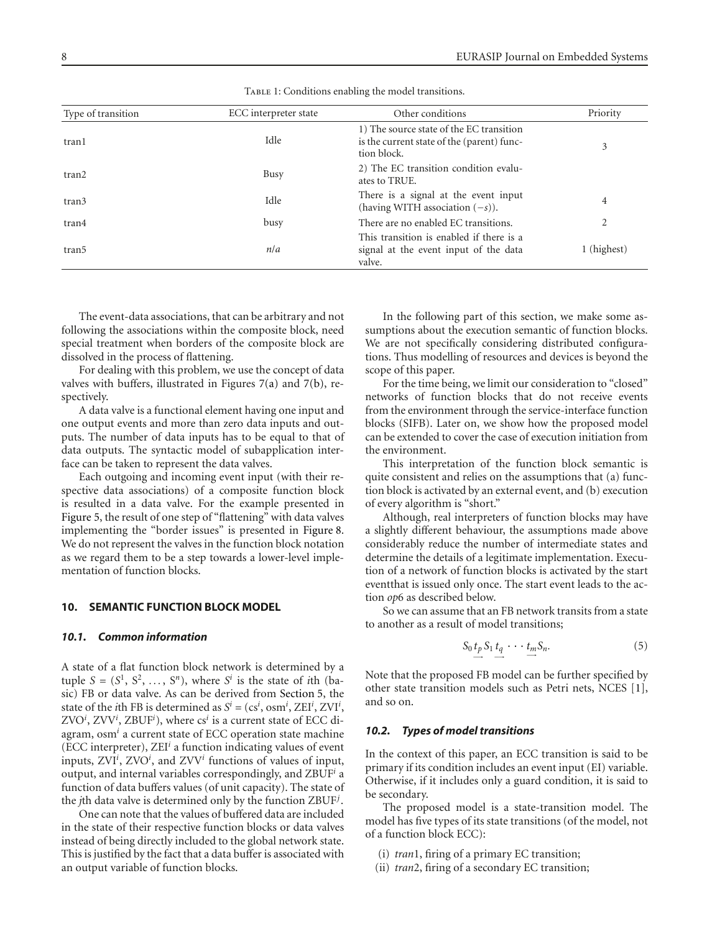| Type of transition | ECC interpreter state | Other conditions                                                                                      | Priority    |  |
|--------------------|-----------------------|-------------------------------------------------------------------------------------------------------|-------------|--|
| tran1              | Idle                  | 1) The source state of the EC transition<br>is the current state of the (parent) func-<br>tion block. | 3           |  |
| tran2              | Busy                  | 2) The EC transition condition evalu-<br>ates to TRUE.                                                |             |  |
| tran3              | Idle                  | There is a signal at the event input<br>(having WITH association $(-s)$ ).                            | 4           |  |
| tran4              | busy                  | There are no enabled EC transitions.                                                                  | 2           |  |
| n/a<br>tran5       |                       | This transition is enabled if there is a<br>signal at the event input of the data<br>valve.           | 1 (highest) |  |

TABLE 1: Conditions enabling the model transitions.

The event-data associations, that can be arbitrary and not following the associations within the composite block, need special treatment when borders of the composite block are dissolved in the process of flattening.

For dealing with this problem, we use the concept of data valves with buffers, illustrated in Figures  $7(a)$  and  $7(b)$ , respectively.

A data valve is a functional element having one input and one output events and more than zero data inputs and outputs. The number of data inputs has to be equal to that of data outputs. The syntactic model of subapplication interface can be taken to represent the data valves.

Each outgoing and incoming event input (with their respective data associations) of a composite function block is resulted in a data valve. For the example presented in Figure 5, the result of one step of "flattening" with data valves implementing the "border issues" is presented in Figure 8. We do not represent the valves in the function block notation as we regard them to be a step towards a lower-level implementation of function blocks.

#### **10. SEMANTIC FUNCTION BLOCK MODEL**

#### *10.1. Common information*

A state of a flat function block network is determined by a tuple  $S = (S^1, S^2, \ldots, S^n)$ , where  $S^i$  is the state of *i*th (basic) FB or data valve. As can be derived from Section 5, the state of the *i*th FB is determined as  $S^i = (cs^i, osm^i, ZEI^i, ZVI^i,$ ZVO<sup>*i*</sup>, ZVV<sup>*i*</sup>, ZBUF<sup>*i*</sup>), where cs<sup>*i*</sup> is a current state of ECC diagram, osm*<sup>i</sup>* a current state of ECC operation state machine (ECC interpreter), ZEI*<sup>i</sup>* a function indicating values of event inputs, ZVI*<sup>i</sup>* , ZVO*<sup>i</sup>* , and ZVV*<sup>i</sup>* functions of values of input, output, and internal variables correspondingly, and ZBUF*<sup>i</sup>* a function of data buffers values (of unit capacity). The state of the *j*th data valve is determined only by the function ZBUF*<sup>j</sup>* .

One can note that the values of buffered data are included in the state of their respective function blocks or data valves instead of being directly included to the global network state. This is justified by the fact that a data buffer is associated with an output variable of function blocks.

In the following part of this section, we make some assumptions about the execution semantic of function blocks. We are not specifically considering distributed configurations. Thus modelling of resources and devices is beyond the scope of this paper.

For the time being, we limit our consideration to "closed" networks of function blocks that do not receive events from the environment through the service-interface function blocks (SIFB). Later on, we show how the proposed model can be extended to cover the case of execution initiation from the environment.

This interpretation of the function block semantic is quite consistent and relies on the assumptions that (a) function block is activated by an external event, and (b) execution of every algorithm is "short."

Although, real interpreters of function blocks may have a slightly different behaviour, the assumptions made above considerably reduce the number of intermediate states and determine the details of a legitimate implementation. Execution of a network of function blocks is activated by the start eventthat is issued only once. The start event leads to the action *op*6 as described below.

So we can assume that an FB network transits from a state to another as a result of model transitions;

$$
S_0 \underbrace{t_p \, S_1 \, t_q}_{\longrightarrow} \cdots \underbrace{t_m \, S_n}_{\longrightarrow} . \tag{5}
$$

Note that the proposed FB model can be further specified by other state transition models such as Petri nets, NCES [1], and so on.

−→

−→

# *10.2. Types of model transitions*

In the context of this paper, an ECC transition is said to be primary if its condition includes an event input (EI) variable. Otherwise, if it includes only a guard condition, it is said to be secondary.

The proposed model is a state-transition model. The model has five types of its state transitions (of the model, not of a function block ECC):

- (i) *tran*1, firing of a primary EC transition;
- (ii) *tran*2, firing of a secondary EC transition;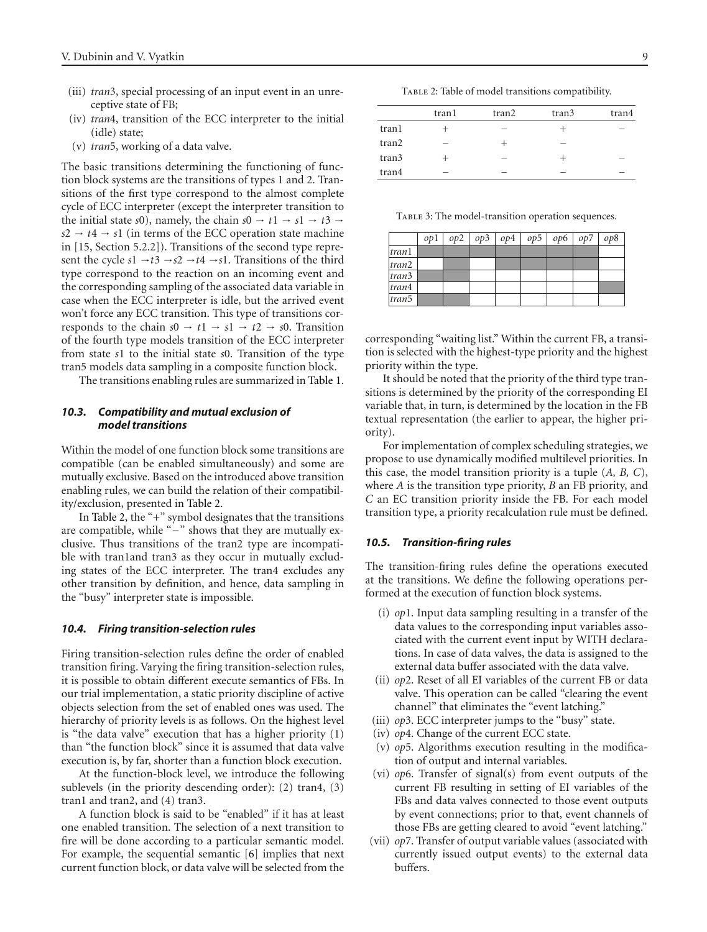- (iii) *tran*3, special processing of an input event in an unreceptive state of FB;
- (iv) *tran*4, transition of the ECC interpreter to the initial (idle) state;
- (v) *tran*5, working of a data valve.

The basic transitions determining the functioning of function block systems are the transitions of types 1 and 2. Transitions of the first type correspond to the almost complete cycle of ECC interpreter (except the interpreter transition to the initial state *s*0), namely, the chain *s*0  $\rightarrow$  *t*1  $\rightarrow$  *s*1  $\rightarrow$  *t*3  $\rightarrow$  $s2 \rightarrow t4 \rightarrow s1$  (in terms of the ECC operation state machine in [15, Section 5.2.2]). Transitions of the second type represent the cycle  $s1 \rightarrow t3 \rightarrow s2 \rightarrow t4 \rightarrow s1$ . Transitions of the third type correspond to the reaction on an incoming event and the corresponding sampling of the associated data variable in case when the ECC interpreter is idle, but the arrived event won't force any ECC transition. This type of transitions corresponds to the chain  $s0 \rightarrow t1 \rightarrow s1 \rightarrow t2 \rightarrow s0$ . Transition of the fourth type models transition of the ECC interpreter from state *s*1 to the initial state *s*0. Transition of the type tran5 models data sampling in a composite function block.

The transitions enabling rules are summarized in Table 1.

## *10.3. Compatibility and mutual exclusion of model transitions*

Within the model of one function block some transitions are compatible (can be enabled simultaneously) and some are mutually exclusive. Based on the introduced above transition enabling rules, we can build the relation of their compatibility/exclusion, presented in Table 2.

In Table 2, the "+" symbol designates that the transitions are compatible, while "−" shows that they are mutually exclusive. Thus transitions of the tran2 type are incompatible with tran1and tran3 as they occur in mutually excluding states of the ECC interpreter. The tran4 excludes any other transition by definition, and hence, data sampling in the "busy" interpreter state is impossible.

#### *10.4. Firing transition-selection rules*

Firing transition-selection rules define the order of enabled transition firing. Varying the firing transition-selection rules, it is possible to obtain different execute semantics of FBs. In our trial implementation, a static priority discipline of active objects selection from the set of enabled ones was used. The hierarchy of priority levels is as follows. On the highest level is "the data valve" execution that has a higher priority (1) than "the function block" since it is assumed that data valve execution is, by far, shorter than a function block execution.

At the function-block level, we introduce the following sublevels (in the priority descending order): (2) tran4, (3) tran1 and tran2, and (4) tran3.

A function block is said to be "enabled" if it has at least one enabled transition. The selection of a next transition to fire will be done according to a particular semantic model. For example, the sequential semantic [6] implies that next current function block, or data valve will be selected from the

Table 2: Table of model transitions compatibility.

|       | tran1 | tran2 | tran3 | tran4 |
|-------|-------|-------|-------|-------|
| tran1 |       |       |       |       |
| tran2 | –     | +     | -     |       |
| tran3 |       |       |       |       |
| tran4 | _     | _     |       |       |

TABLE 3: The model-transition operation sequences.

|       | op1 |  | op2   op3   op4   op5 | op6 | op7 | op8 |
|-------|-----|--|-----------------------|-----|-----|-----|
| tran1 |     |  |                       |     |     |     |
| tran2 |     |  |                       |     |     |     |
| tran3 |     |  |                       |     |     |     |
| tran4 |     |  |                       |     |     |     |
| tran5 |     |  |                       |     |     |     |

corresponding "waiting list." Within the current FB, a transition is selected with the highest-type priority and the highest priority within the type.

It should be noted that the priority of the third type transitions is determined by the priority of the corresponding EI variable that, in turn, is determined by the location in the FB textual representation (the earlier to appear, the higher priority).

For implementation of complex scheduling strategies, we propose to use dynamically modified multilevel priorities. In this case, the model transition priority is a tuple (*A, B, C*), where *A* is the transition type priority, *B* an FB priority, and *C* an EC transition priority inside the FB. For each model transition type, a priority recalculation rule must be defined.

## *10.5. Transition-firing rules*

The transition-firing rules define the operations executed at the transitions. We define the following operations performed at the execution of function block systems.

- (i) *op*1. Input data sampling resulting in a transfer of the data values to the corresponding input variables associated with the current event input by WITH declarations. In case of data valves, the data is assigned to the external data buffer associated with the data valve.
- (ii) *op*2. Reset of all EI variables of the current FB or data valve. This operation can be called "clearing the event channel" that eliminates the "event latching."
- (iii) *op*3. ECC interpreter jumps to the "busy" state.
- (iv) *op*4. Change of the current ECC state.
- (v) *op*5. Algorithms execution resulting in the modification of output and internal variables.
- (vi) *op*6. Transfer of signal(s) from event outputs of the current FB resulting in setting of EI variables of the FBs and data valves connected to those event outputs by event connections; prior to that, event channels of those FBs are getting cleared to avoid "event latching."
- (vii) *op*7. Transfer of output variable values (associated with currently issued output events) to the external data buffers.